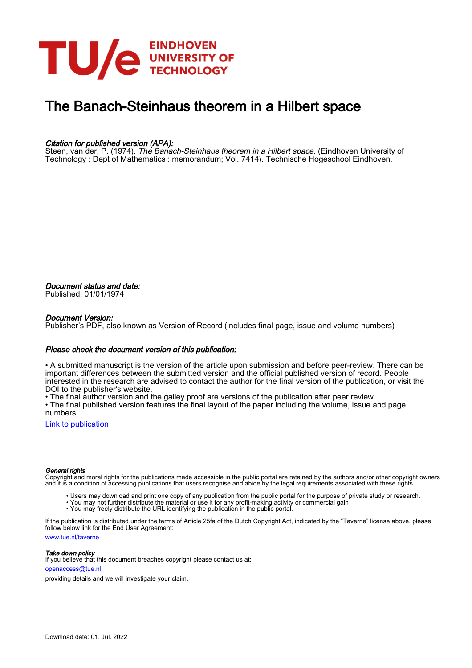

# The Banach-Steinhaus theorem in a Hilbert space

# Citation for published version (APA):

Steen, van der, P. (1974). The Banach-Steinhaus theorem in a Hilbert space. (Eindhoven University of Technology : Dept of Mathematics : memorandum; Vol. 7414). Technische Hogeschool Eindhoven.

Document status and date: Published: 01/01/1974

# Document Version:

Publisher's PDF, also known as Version of Record (includes final page, issue and volume numbers)

# Please check the document version of this publication:

• A submitted manuscript is the version of the article upon submission and before peer-review. There can be important differences between the submitted version and the official published version of record. People interested in the research are advised to contact the author for the final version of the publication, or visit the DOI to the publisher's website.

• The final author version and the galley proof are versions of the publication after peer review.

• The final published version features the final layout of the paper including the volume, issue and page numbers.

[Link to publication](https://research.tue.nl/en/publications/2020ff40-f50f-4c09-a6ae-34a0f4365780)

### General rights

Copyright and moral rights for the publications made accessible in the public portal are retained by the authors and/or other copyright owners and it is a condition of accessing publications that users recognise and abide by the legal requirements associated with these rights.

- Users may download and print one copy of any publication from the public portal for the purpose of private study or research.
- You may not further distribute the material or use it for any profit-making activity or commercial gain
- You may freely distribute the URL identifying the publication in the public portal.

If the publication is distributed under the terms of Article 25fa of the Dutch Copyright Act, indicated by the "Taverne" license above, please follow below link for the End User Agreement:

www.tue.nl/taverne

**Take down policy**<br>If you believe that this document breaches copyright please contact us at:

openaccess@tue.nl

providing details and we will investigate your claim.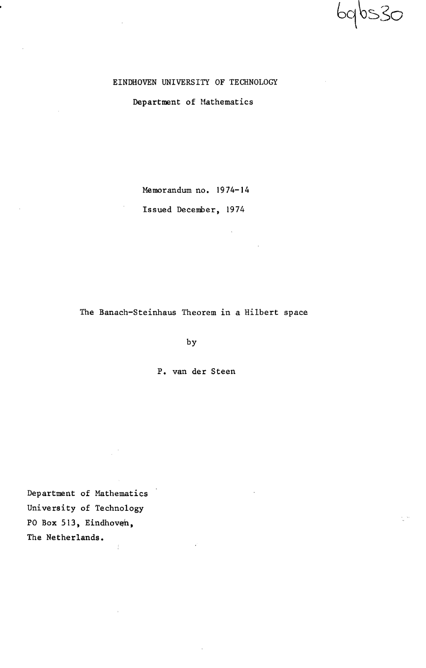6qbs30

# EINDHOVEN UNIVERSITY OF TECHNOLOGY

Department of Mathematics

Memorandum no. 1974-14

Issued December, 1974

The Banach-Steinhaus Theorem in a Hilbert space

by

P. van der Steen

Department of Mathematics University of Technology PO Box 513, Eindhoven, The Netherlands.  $\bar{f}$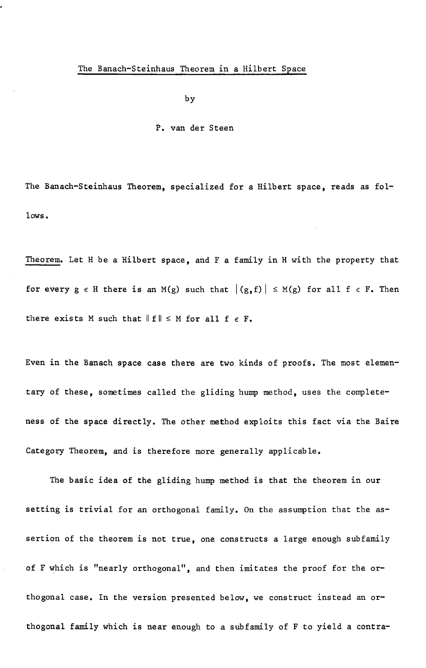by

# P. van der Steen

The Banach-Steinhaus Theorem, specialized for a Hilbert space, reads as fo1 lows.

Theorem. Let H be a Hilbert space, and F a family in H with the property that for every  $g \in H$  there is an M(g) such that  $|(g, f)| \leq M(g)$  for all  $f \in F$ . Then there exists M such that  $\|f\| \leq M$  for all  $f \in F$ .

Even in the Banach space case there are two kinds of proofs. The most elementary of these, sometimes called the gliding hump method, uses the completeness of the space directly. The other method exploits this fact via the Baire Category Theorem, and is therefore more generally applicable.

The basic idea of the gliding hump method is that the theorem in our setting is trivial for an orthogonal family. On the assumption that the assertion of the theorem is not true, one constructs a large enough subfamily of F which is "nearly orthogonal", and then imitates the proof for the orthogonal case. In the version presented below, we construct instead an orthogonal family which is near enough to a subfamily of F to yield a contra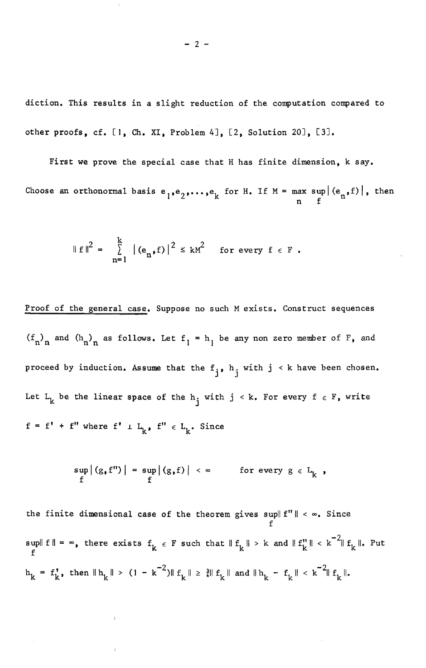diction. This results in a slight reduction of the computation compared to other proofs, cf. [1, Ch. XI, Problem 4J, [2, Solution 20J, [3J.

First we prove the special case that H has finite dimension, k say. Choose an orthonormal basis  $e_1, e_2, \ldots, e_k$  for H. If  $M = \max_{n} \sup_{f} |(e_n, f)|$ , then

$$
\|f\|^2 = \sum_{n=1}^k |(e_n, f)|^2 \leq kM^2 \quad \text{for every } f \in F.
$$

Proof of the general case. Suppose no such M exists. Construct sequences  $(f_n)_n$  and  $(h_n)_n$  as follows. Let  $f_1 = h_1$  be any non zero member of F, and proceed by induction. Assume that the  $f_j$ , h. with  $j \le k$  have been chosen. Let  $L_k$  be the linear space of the  $h_j$  with  $j \le k$ . For every  $f \in F$ , write  $f = f' + f''$  where  $f' \perp L_k$ ,  $f'' \in L_k$ . Since

$$
\sup_{f} |(g, f'')| = \sup_{f} |(g, f)| < \infty \quad \text{for every } g \in L_{k} ,
$$

the finite dimensional case of the theorem gives  $\sup \| f'' \| < \infty$ . Since f sup $||f|| =$ f  $\infty$ , there exists  $f_k \in F$  such that  $||f_k|| > k$  and  $||f_k|| < k^{-2}||f_k||$ . Put  $h_k = f_k'$ , then  $||h_k|| > (1 - k^{-2})||f_k|| \ge \frac{3}{4}||f_k||$  and  $||h_k - f_k|| < k^{-2}||f_k||$ .